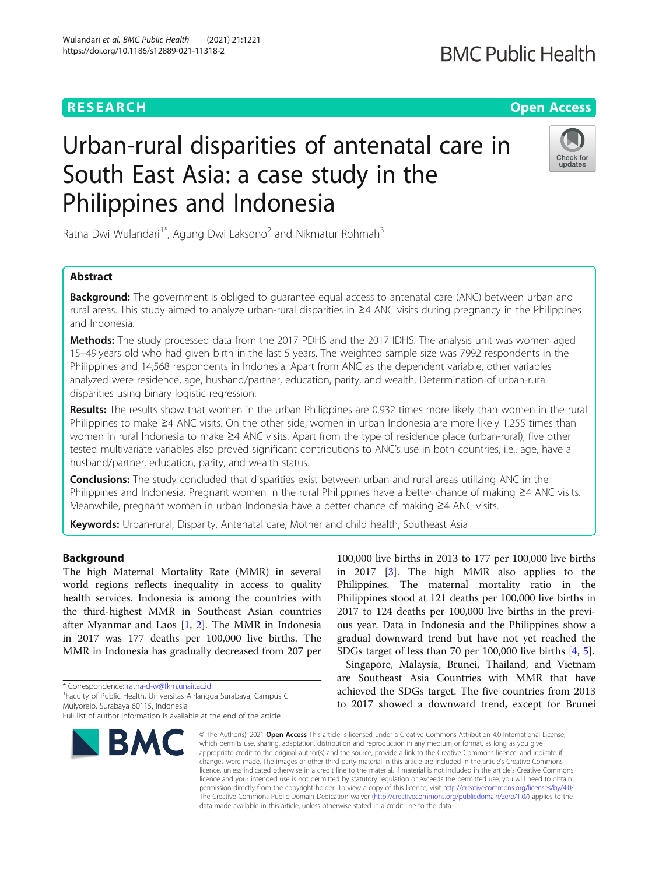## **BMC Public Health**

## **RESEARCH CHE Open Access**

# Urban-rural disparities of antenatal care in South East Asia: a case study in the Philippines and Indonesia



Ratna Dwi Wulandari<sup>1\*</sup>, Agung Dwi Laksono<sup>2</sup> and Nikmatur Rohmah<sup>3</sup>

## Abstract

**Background:** The government is obliged to guarantee equal access to antenatal care (ANC) between urban and rural areas. This study aimed to analyze urban-rural disparities in ≥4 ANC visits during pregnancy in the Philippines and Indonesia.

Methods: The study processed data from the 2017 PDHS and the 2017 IDHS. The analysis unit was women aged 15–49 years old who had given birth in the last 5 years. The weighted sample size was 7992 respondents in the Philippines and 14,568 respondents in Indonesia. Apart from ANC as the dependent variable, other variables analyzed were residence, age, husband/partner, education, parity, and wealth. Determination of urban-rural disparities using binary logistic regression.

Results: The results show that women in the urban Philippines are 0.932 times more likely than women in the rural Philippines to make ≥4 ANC visits. On the other side, women in urban Indonesia are more likely 1.255 times than women in rural Indonesia to make ≥4 ANC visits. Apart from the type of residence place (urban-rural), five other tested multivariate variables also proved significant contributions to ANC's use in both countries, i.e., age, have a husband/partner, education, parity, and wealth status.

**Conclusions:** The study concluded that disparities exist between urban and rural areas utilizing ANC in the Philippines and Indonesia. Pregnant women in the rural Philippines have a better chance of making ≥4 ANC visits. Meanwhile, pregnant women in urban Indonesia have a better chance of making ≥4 ANC visits.

Keywords: Urban-rural, Disparity, Antenatal care, Mother and child health, Southeast Asia

## Background

The high Maternal Mortality Rate (MMR) in several world regions reflects inequality in access to quality health services. Indonesia is among the countries with the third-highest MMR in Southeast Asian countries after Myanmar and Laos [[1,](#page-6-0) [2](#page-6-0)]. The MMR in Indonesia in 2017 was 177 deaths per 100,000 live births. The MMR in Indonesia has gradually decreased from 207 per

\* Correspondence: [ratna-d-w@fkm.unair.ac.id](mailto:ratna-d-w@fkm.unair.ac.id) <sup>1</sup>

<sup>1</sup> Faculty of Public Health, Universitas Airlangga Surabaya, Campus C Mulyorejo, Surabaya 60115, Indonesia

Full list of author information is available at the end of the article



100,000 live births in 2013 to 177 per 100,000 live births in 2017 [[3\]](#page-6-0). The high MMR also applies to the Philippines. The maternal mortality ratio in the Philippines stood at 121 deaths per 100,000 live births in 2017 to 124 deaths per 100,000 live births in the previous year. Data in Indonesia and the Philippines show a gradual downward trend but have not yet reached the SDGs target of less than 70 per 100,000 live births [\[4](#page-6-0), [5](#page-6-0)].

Singapore, Malaysia, Brunei, Thailand, and Vietnam are Southeast Asia Countries with MMR that have achieved the SDGs target. The five countries from 2013 to 2017 showed a downward trend, except for Brunei

© The Author(s), 2021 **Open Access** This article is licensed under a Creative Commons Attribution 4.0 International License, which permits use, sharing, adaptation, distribution and reproduction in any medium or format, as long as you give appropriate credit to the original author(s) and the source, provide a link to the Creative Commons licence, and indicate if changes were made. The images or other third party material in this article are included in the article's Creative Commons licence, unless indicated otherwise in a credit line to the material. If material is not included in the article's Creative Commons licence and your intended use is not permitted by statutory regulation or exceeds the permitted use, you will need to obtain permission directly from the copyright holder. To view a copy of this licence, visit [http://creativecommons.org/licenses/by/4.0/.](http://creativecommons.org/licenses/by/4.0/) The Creative Commons Public Domain Dedication waiver [\(http://creativecommons.org/publicdomain/zero/1.0/](http://creativecommons.org/publicdomain/zero/1.0/)) applies to the data made available in this article, unless otherwise stated in a credit line to the data.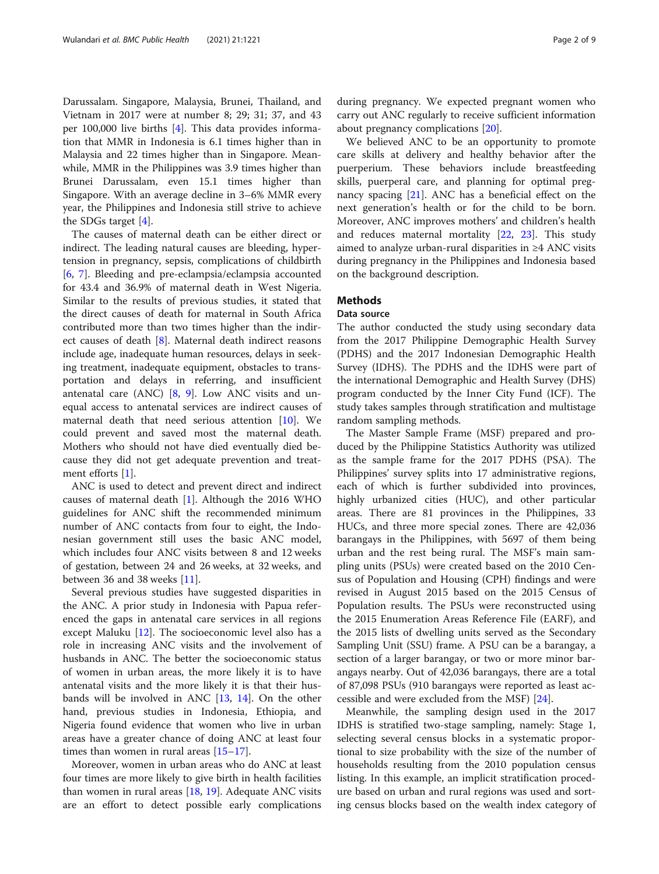Darussalam. Singapore, Malaysia, Brunei, Thailand, and Vietnam in 2017 were at number 8; 29; 31; 37, and 43 per 100,000 live births [[4](#page-6-0)]. This data provides information that MMR in Indonesia is 6.1 times higher than in Malaysia and 22 times higher than in Singapore. Meanwhile, MMR in the Philippines was 3.9 times higher than Brunei Darussalam, even 15.1 times higher than Singapore. With an average decline in 3–6% MMR every year, the Philippines and Indonesia still strive to achieve the SDGs target [\[4](#page-6-0)].

The causes of maternal death can be either direct or indirect. The leading natural causes are bleeding, hypertension in pregnancy, sepsis, complications of childbirth [[6,](#page-6-0) [7](#page-6-0)]. Bleeding and pre-eclampsia/eclampsia accounted for 43.4 and 36.9% of maternal death in West Nigeria. Similar to the results of previous studies, it stated that the direct causes of death for maternal in South Africa contributed more than two times higher than the indirect causes of death [[8](#page-6-0)]. Maternal death indirect reasons include age, inadequate human resources, delays in seeking treatment, inadequate equipment, obstacles to transportation and delays in referring, and insufficient antenatal care (ANC) [[8,](#page-6-0) [9\]](#page-6-0). Low ANC visits and unequal access to antenatal services are indirect causes of maternal death that need serious attention [\[10\]](#page-6-0). We could prevent and saved most the maternal death. Mothers who should not have died eventually died because they did not get adequate prevention and treatment efforts [[1\]](#page-6-0).

ANC is used to detect and prevent direct and indirect causes of maternal death  $[1]$  $[1]$ . Although the 2016 WHO guidelines for ANC shift the recommended minimum number of ANC contacts from four to eight, the Indonesian government still uses the basic ANC model, which includes four ANC visits between 8 and 12 weeks of gestation, between 24 and 26 weeks, at 32 weeks, and between 36 and 38 weeks [\[11](#page-6-0)].

Several previous studies have suggested disparities in the ANC. A prior study in Indonesia with Papua referenced the gaps in antenatal care services in all regions except Maluku [[12\]](#page-6-0). The socioeconomic level also has a role in increasing ANC visits and the involvement of husbands in ANC. The better the socioeconomic status of women in urban areas, the more likely it is to have antenatal visits and the more likely it is that their husbands will be involved in ANC [[13,](#page-6-0) [14](#page-6-0)]. On the other hand, previous studies in Indonesia, Ethiopia, and Nigeria found evidence that women who live in urban areas have a greater chance of doing ANC at least four times than women in rural areas [\[15](#page-7-0)–[17\]](#page-7-0).

Moreover, women in urban areas who do ANC at least four times are more likely to give birth in health facilities than women in rural areas  $[18, 19]$  $[18, 19]$  $[18, 19]$ . Adequate ANC visits are an effort to detect possible early complications during pregnancy. We expected pregnant women who carry out ANC regularly to receive sufficient information about pregnancy complications [[20\]](#page-7-0).

We believed ANC to be an opportunity to promote care skills at delivery and healthy behavior after the puerperium. These behaviors include breastfeeding skills, puerperal care, and planning for optimal pregnancy spacing [[21\]](#page-7-0). ANC has a beneficial effect on the next generation's health or for the child to be born. Moreover, ANC improves mothers' and children's health and reduces maternal mortality [[22](#page-7-0), [23\]](#page-7-0). This study aimed to analyze urban-rural disparities in ≥4 ANC visits during pregnancy in the Philippines and Indonesia based on the background description.

## **Methods**

### Data source

The author conducted the study using secondary data from the 2017 Philippine Demographic Health Survey (PDHS) and the 2017 Indonesian Demographic Health Survey (IDHS). The PDHS and the IDHS were part of the international Demographic and Health Survey (DHS) program conducted by the Inner City Fund (ICF). The study takes samples through stratification and multistage random sampling methods.

The Master Sample Frame (MSF) prepared and produced by the Philippine Statistics Authority was utilized as the sample frame for the 2017 PDHS (PSA). The Philippines' survey splits into 17 administrative regions, each of which is further subdivided into provinces, highly urbanized cities (HUC), and other particular areas. There are 81 provinces in the Philippines, 33 HUCs, and three more special zones. There are 42,036 barangays in the Philippines, with 5697 of them being urban and the rest being rural. The MSF's main sampling units (PSUs) were created based on the 2010 Census of Population and Housing (CPH) findings and were revised in August 2015 based on the 2015 Census of Population results. The PSUs were reconstructed using the 2015 Enumeration Areas Reference File (EARF), and the 2015 lists of dwelling units served as the Secondary Sampling Unit (SSU) frame. A PSU can be a barangay, a section of a larger barangay, or two or more minor barangays nearby. Out of 42,036 barangays, there are a total of 87,098 PSUs (910 barangays were reported as least accessible and were excluded from the MSF) [\[24](#page-7-0)].

Meanwhile, the sampling design used in the 2017 IDHS is stratified two-stage sampling, namely: Stage 1, selecting several census blocks in a systematic proportional to size probability with the size of the number of households resulting from the 2010 population census listing. In this example, an implicit stratification procedure based on urban and rural regions was used and sorting census blocks based on the wealth index category of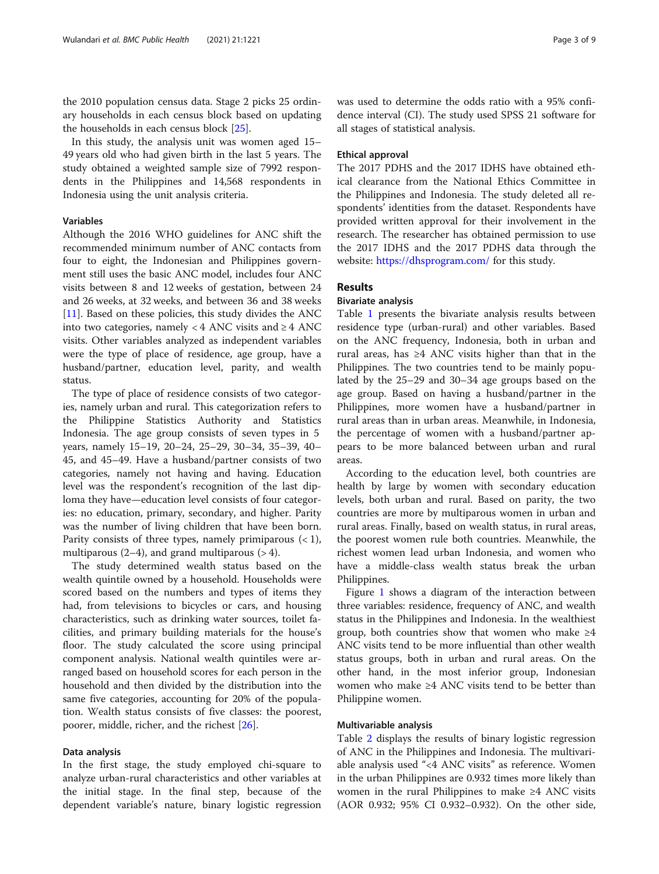the 2010 population census data. Stage 2 picks 25 ordinary households in each census block based on updating the households in each census block [[25\]](#page-7-0).

In this study, the analysis unit was women aged 15– 49 years old who had given birth in the last 5 years. The study obtained a weighted sample size of 7992 respondents in the Philippines and 14,568 respondents in Indonesia using the unit analysis criteria.

## Variables

Although the 2016 WHO guidelines for ANC shift the recommended minimum number of ANC contacts from four to eight, the Indonesian and Philippines government still uses the basic ANC model, includes four ANC visits between 8 and 12 weeks of gestation, between 24 and 26 weeks, at 32 weeks, and between 36 and 38 weeks [[11\]](#page-6-0). Based on these policies, this study divides the ANC into two categories, namely < 4 ANC visits and  $\geq$  4 ANC visits. Other variables analyzed as independent variables were the type of place of residence, age group, have a husband/partner, education level, parity, and wealth status.

The type of place of residence consists of two categories, namely urban and rural. This categorization refers to the Philippine Statistics Authority and Statistics Indonesia. The age group consists of seven types in 5 years, namely 15–19, 20–24, 25–29, 30–34, 35–39, 40– 45, and 45–49. Have a husband/partner consists of two categories, namely not having and having. Education level was the respondent's recognition of the last diploma they have—education level consists of four categories: no education, primary, secondary, and higher. Parity was the number of living children that have been born. Parity consists of three types, namely primiparous  $(< 1)$ , multiparous  $(2-4)$ , and grand multiparous  $(>4)$ .

The study determined wealth status based on the wealth quintile owned by a household. Households were scored based on the numbers and types of items they had, from televisions to bicycles or cars, and housing characteristics, such as drinking water sources, toilet facilities, and primary building materials for the house's floor. The study calculated the score using principal component analysis. National wealth quintiles were arranged based on household scores for each person in the household and then divided by the distribution into the same five categories, accounting for 20% of the population. Wealth status consists of five classes: the poorest, poorer, middle, richer, and the richest [\[26](#page-7-0)].

## Data analysis

In the first stage, the study employed chi-square to analyze urban-rural characteristics and other variables at the initial stage. In the final step, because of the dependent variable's nature, binary logistic regression

was used to determine the odds ratio with a 95% confidence interval (CI). The study used SPSS 21 software for all stages of statistical analysis.

## Ethical approval

The 2017 PDHS and the 2017 IDHS have obtained ethical clearance from the National Ethics Committee in the Philippines and Indonesia. The study deleted all respondents' identities from the dataset. Respondents have provided written approval for their involvement in the research. The researcher has obtained permission to use the 2017 IDHS and the 2017 PDHS data through the website: [https://dhsprogram.com/](https://dhsprogram.com/data/new-user-registration.cfm) for this study.

## Results

## Bivariate analysis

Table [1](#page-3-0) presents the bivariate analysis results between residence type (urban-rural) and other variables. Based on the ANC frequency, Indonesia, both in urban and rural areas, has ≥4 ANC visits higher than that in the Philippines. The two countries tend to be mainly populated by the 25–29 and 30–34 age groups based on the age group. Based on having a husband/partner in the Philippines, more women have a husband/partner in rural areas than in urban areas. Meanwhile, in Indonesia, the percentage of women with a husband/partner appears to be more balanced between urban and rural areas.

According to the education level, both countries are health by large by women with secondary education levels, both urban and rural. Based on parity, the two countries are more by multiparous women in urban and rural areas. Finally, based on wealth status, in rural areas, the poorest women rule both countries. Meanwhile, the richest women lead urban Indonesia, and women who have a middle-class wealth status break the urban Philippines.

Figure [1](#page-4-0) shows a diagram of the interaction between three variables: residence, frequency of ANC, and wealth status in the Philippines and Indonesia. In the wealthiest group, both countries show that women who make  $\geq 4$ ANC visits tend to be more influential than other wealth status groups, both in urban and rural areas. On the other hand, in the most inferior group, Indonesian women who make ≥4 ANC visits tend to be better than Philippine women.

#### Multivariable analysis

Table [2](#page-5-0) displays the results of binary logistic regression of ANC in the Philippines and Indonesia. The multivariable analysis used "<4 ANC visits" as reference. Women in the urban Philippines are 0.932 times more likely than women in the rural Philippines to make ≥4 ANC visits (AOR 0.932; 95% CI 0.932–0.932). On the other side,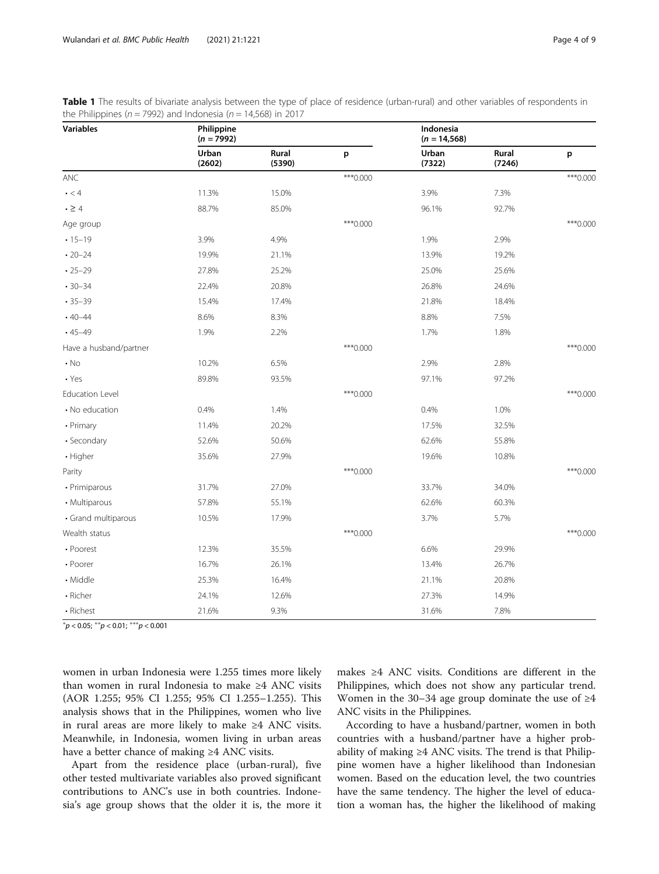<span id="page-3-0"></span>

| Table 1 The results of bivariate analysis between the type of place of residence (urban-rural) and other variables of respondents in |  |
|--------------------------------------------------------------------------------------------------------------------------------------|--|
| the Philippines ( $n = 7992$ ) and Indonesia ( $n = 14,568$ ) in 2017                                                                |  |

| <b>Variables</b>       | Philippine<br>$(n = 7992)$ |                 |            | Indonesia<br>$(n = 14, 568)$ |                 |            |
|------------------------|----------------------------|-----------------|------------|------------------------------|-----------------|------------|
|                        | Urban<br>(2602)            | Rural<br>(5390) | p          | Urban<br>(7322)              | Rural<br>(7246) | p          |
| ANC                    |                            |                 | *** 0.000  |                              |                 | *** 0.000  |
| $\cdot$ < 4            | 11.3%                      | 15.0%           |            | 3.9%                         | 7.3%            |            |
| $\cdot \geq 4$         | 88.7%                      | 85.0%           |            | 96.1%                        | 92.7%           |            |
| Age group              |                            |                 | *** 0.000  |                              |                 | *** 0.000  |
| $.15 - 19$             | 3.9%                       | 4.9%            |            | 1.9%                         | 2.9%            |            |
| $\cdot$ 20-24          | 19.9%                      | 21.1%           |            | 13.9%                        | 19.2%           |            |
| $-25-29$               | 27.8%                      | 25.2%           |            | 25.0%                        | 25.6%           |            |
| $-30-34$               | 22.4%                      | 20.8%           |            | 26.8%                        | 24.6%           |            |
| $-35-39$               | 15.4%                      | 17.4%           |            | 21.8%                        | 18.4%           |            |
| $.40 - 44$             | 8.6%                       | 8.3%            |            | 8.8%                         | 7.5%            |            |
| $.45 - 49$             | 1.9%                       | 2.2%            |            | 1.7%                         | 1.8%            |            |
| Have a husband/partner |                            |                 | $***0.000$ |                              |                 | *** 0.000  |
| $\cdot$ No             | 10.2%                      | 6.5%            |            | 2.9%                         | 2.8%            |            |
| $\cdot$ Yes            | 89.8%                      | 93.5%           |            | 97.1%                        | 97.2%           |            |
| Education Level        |                            |                 | $***0.000$ |                              |                 | $***0.000$ |
| • No education         | 0.4%                       | 1.4%            |            | 0.4%                         | 1.0%            |            |
| • Primary              | 11.4%                      | 20.2%           |            | 17.5%                        | 32.5%           |            |
| • Secondary            | 52.6%                      | 50.6%           |            | 62.6%                        | 55.8%           |            |
| • Higher               | 35.6%                      | 27.9%           |            | 19.6%                        | 10.8%           |            |
| Parity                 |                            |                 | *** 0.000  |                              |                 | $***0.000$ |
| • Primiparous          | 31.7%                      | 27.0%           |            | 33.7%                        | 34.0%           |            |
| • Multiparous          | 57.8%                      | 55.1%           |            | 62.6%                        | 60.3%           |            |
| • Grand multiparous    | 10.5%                      | 17.9%           |            | 3.7%                         | 5.7%            |            |
| Wealth status          |                            |                 | *** 0.000  |                              |                 | *** 0.000  |
| • Poorest              | 12.3%                      | 35.5%           |            | 6.6%                         | 29.9%           |            |
| • Poorer               | 16.7%                      | 26.1%           |            | 13.4%                        | 26.7%           |            |
| • Middle               | 25.3%                      | 16.4%           |            | 21.1%                        | 20.8%           |            |
| • Richer               | 24.1%                      | 12.6%           |            | 27.3%                        | 14.9%           |            |
| • Richest              | 21.6%                      | 9.3%            |            | 31.6%                        | 7.8%            |            |

 ${}^*p$  < 0.05;  ${}^{**}p$  < 0.01;  ${}^{***}p$  < 0.001

women in urban Indonesia were 1.255 times more likely than women in rural Indonesia to make ≥4 ANC visits (AOR 1.255; 95% CI 1.255; 95% CI 1.255–1.255). This analysis shows that in the Philippines, women who live in rural areas are more likely to make ≥4 ANC visits. Meanwhile, in Indonesia, women living in urban areas have a better chance of making ≥4 ANC visits.

Apart from the residence place (urban-rural), five other tested multivariate variables also proved significant contributions to ANC's use in both countries. Indonesia's age group shows that the older it is, the more it makes ≥4 ANC visits. Conditions are different in the Philippines, which does not show any particular trend. Women in the 30–34 age group dominate the use of ≥4 ANC visits in the Philippines.

According to have a husband/partner, women in both countries with a husband/partner have a higher probability of making ≥4 ANC visits. The trend is that Philippine women have a higher likelihood than Indonesian women. Based on the education level, the two countries have the same tendency. The higher the level of education a woman has, the higher the likelihood of making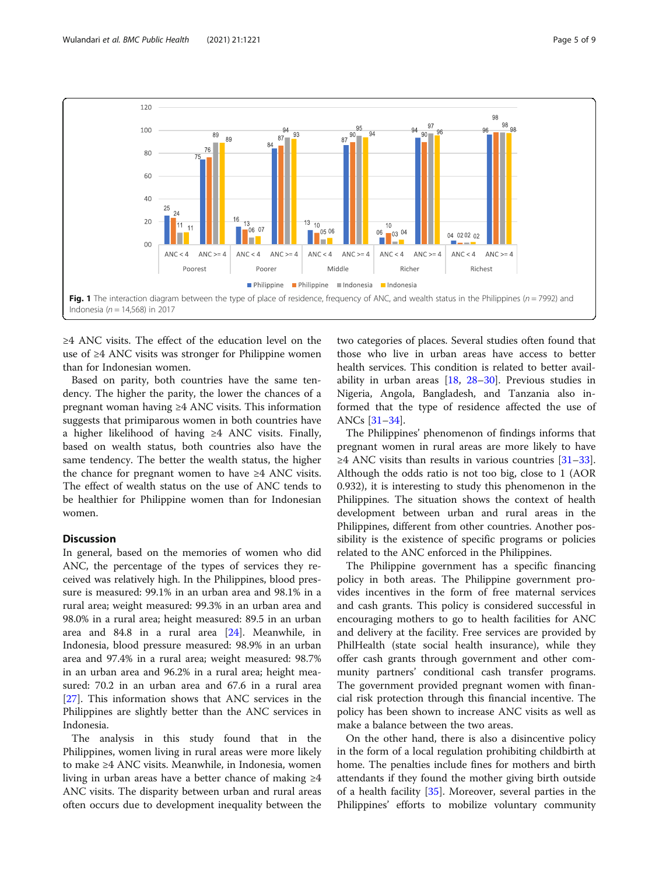<span id="page-4-0"></span>

≥4 ANC visits. The effect of the education level on the use of ≥4 ANC visits was stronger for Philippine women than for Indonesian women.

Based on parity, both countries have the same tendency. The higher the parity, the lower the chances of a pregnant woman having ≥4 ANC visits. This information suggests that primiparous women in both countries have a higher likelihood of having ≥4 ANC visits. Finally, based on wealth status, both countries also have the same tendency. The better the wealth status, the higher the chance for pregnant women to have  $\geq 4$  ANC visits. The effect of wealth status on the use of ANC tends to be healthier for Philippine women than for Indonesian women.

## Discussion

In general, based on the memories of women who did ANC, the percentage of the types of services they received was relatively high. In the Philippines, blood pressure is measured: 99.1% in an urban area and 98.1% in a rural area; weight measured: 99.3% in an urban area and 98.0% in a rural area; height measured: 89.5 in an urban area and 84.8 in a rural area [\[24](#page-7-0)]. Meanwhile, in Indonesia, blood pressure measured: 98.9% in an urban area and 97.4% in a rural area; weight measured: 98.7% in an urban area and 96.2% in a rural area; height measured: 70.2 in an urban area and 67.6 in a rural area [[27\]](#page-7-0). This information shows that ANC services in the Philippines are slightly better than the ANC services in Indonesia.

The analysis in this study found that in the Philippines, women living in rural areas were more likely to make ≥4 ANC visits. Meanwhile, in Indonesia, women living in urban areas have a better chance of making ≥4 ANC visits. The disparity between urban and rural areas often occurs due to development inequality between the

two categories of places. Several studies often found that those who live in urban areas have access to better health services. This condition is related to better availability in urban areas [[18,](#page-7-0) [28](#page-7-0)–[30](#page-7-0)]. Previous studies in Nigeria, Angola, Bangladesh, and Tanzania also informed that the type of residence affected the use of ANCs [[31](#page-7-0)–[34](#page-7-0)].

The Philippines' phenomenon of findings informs that pregnant women in rural areas are more likely to have  $\geq$ 4 ANC visits than results in various countries [[31](#page-7-0)–[33](#page-7-0)]. Although the odds ratio is not too big, close to 1 (AOR 0.932), it is interesting to study this phenomenon in the Philippines. The situation shows the context of health development between urban and rural areas in the Philippines, different from other countries. Another possibility is the existence of specific programs or policies related to the ANC enforced in the Philippines.

The Philippine government has a specific financing policy in both areas. The Philippine government provides incentives in the form of free maternal services and cash grants. This policy is considered successful in encouraging mothers to go to health facilities for ANC and delivery at the facility. Free services are provided by PhilHealth (state social health insurance), while they offer cash grants through government and other community partners' conditional cash transfer programs. The government provided pregnant women with financial risk protection through this financial incentive. The policy has been shown to increase ANC visits as well as make a balance between the two areas.

On the other hand, there is also a disincentive policy in the form of a local regulation prohibiting childbirth at home. The penalties include fines for mothers and birth attendants if they found the mother giving birth outside of a health facility [\[35\]](#page-7-0). Moreover, several parties in the Philippines' efforts to mobilize voluntary community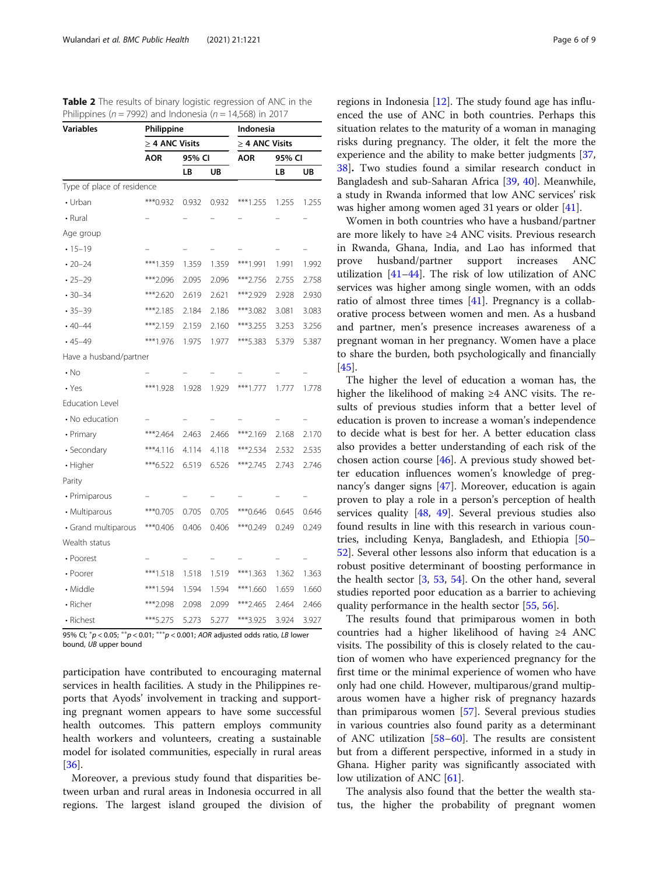| <b>Variables</b>           | Philippine          |          |       | Indonesia           |        |       |
|----------------------------|---------------------|----------|-------|---------------------|--------|-------|
|                            | $\geq$ 4 ANC Visits |          |       | $\geq$ 4 ANC Visits |        |       |
|                            | AOR                 | 95% CI   |       | AOR                 | 95% CI |       |
|                            |                     | LB<br>UB |       |                     | LB     | UB    |
| Type of place of residence |                     |          |       |                     |        |       |
| • Urban                    | *** 0.932           | 0.932    | 0.932 | ***1.255            | 1.255  | 1.255 |
| • Rural                    |                     |          |       |                     |        |       |
| Age group                  |                     |          |       |                     |        |       |
| $-15 - 19$                 |                     |          |       |                     |        |       |
| $\cdot$ 20-24              | ***1.359            | 1.359    | 1.359 | ***1.991            | 1.991  | 1.992 |
| $\cdot$ 25-29              | ***2.096            | 2.095    | 2.096 | ***2.756            | 2.755  | 2.758 |
| $-30-34$                   | ***2.620            | 2.619    | 2.621 | ***2.929            | 2.928  | 2.930 |
| $-35-39$                   | ***2.185            | 2.184    | 2.186 | ***3.082            | 3.081  | 3.083 |
| $.40 - 44$                 | ***2.159            | 2.159    | 2.160 | ***3.255            | 3.253  | 3.256 |
| $-45-49$                   | ***1.976            | 1.975    | 1.977 | ***5.383            | 5.379  | 5.387 |
| Have a husband/partner     |                     |          |       |                     |        |       |
| $\cdot$ No                 |                     |          |       |                     |        |       |
| $\cdot$ Yes                | ***1.928            | 1.928    | 1.929 | ***1.777            | 1.777  | 1.778 |
| <b>Education Level</b>     |                     |          |       |                     |        |       |
| • No education             |                     |          |       |                     |        |       |
| • Primary                  | ***2.464            | 2.463    | 2.466 | ***2.169            | 2.168  | 2.170 |
| · Secondary                | $***4.116$          | 4.114    | 4.118 | ***2.534            | 2.532  | 2.535 |
| • Higher                   | ***6.522            | 6.519    | 6.526 | ***2.745            | 2.743  | 2.746 |
| Parity                     |                     |          |       |                     |        |       |
| • Primiparous              |                     |          |       |                     |        |       |
| • Multiparous              | *** 0.705           | 0.705    | 0.705 | ***0.646            | 0.645  | 0.646 |
| · Grand multiparous        | ***0.406            | 0.406    | 0.406 | ***0.249            | 0.249  | 0.249 |
| Wealth status              |                     |          |       |                     |        |       |
| • Poorest                  |                     |          |       |                     |        |       |
| • Poorer                   | ***1.518            | 1.518    | 1.519 | ***1.363            | 1.362  | 1.363 |
| • Middle                   | ***1.594            | 1.594    | 1.594 | ***1.660            | 1.659  | 1.660 |
| • Richer                   | ***2.098            | 2.098    | 2.099 | ***2.465            | 2.464  | 2.466 |
| • Richest                  | ***5.275            | 5.273    | 5.277 | ***3.925            | 3.924  | 3.927 |

<span id="page-5-0"></span>Table 2 The results of binary logistic regression of ANC in the Philippines ( $n = 7992$ ) and Indonesia ( $n = 14,568$ ) in 2017

95% CI;  $^{*}p <$  0.05;  $^{**}p <$  0.01;  $^{***}p <$  0.001; AOR adjusted odds ratio, LB lower bound, UB upper bound

participation have contributed to encouraging maternal services in health facilities. A study in the Philippines reports that Ayods' involvement in tracking and supporting pregnant women appears to have some successful health outcomes. This pattern employs community health workers and volunteers, creating a sustainable model for isolated communities, especially in rural areas [[36\]](#page-7-0).

Moreover, a previous study found that disparities between urban and rural areas in Indonesia occurred in all regions. The largest island grouped the division of

regions in Indonesia [\[12\]](#page-6-0). The study found age has influenced the use of ANC in both countries. Perhaps this situation relates to the maturity of a woman in managing risks during pregnancy. The older, it felt the more the experience and the ability to make better judgments [[37](#page-7-0), [38\]](#page-7-0). Two studies found a similar research conduct in Bangladesh and sub-Saharan Africa [[39](#page-7-0), [40\]](#page-7-0). Meanwhile, a study in Rwanda informed that low ANC services' risk was higher among women aged 31 years or older [\[41\]](#page-7-0).

Women in both countries who have a husband/partner are more likely to have ≥4 ANC visits. Previous research in Rwanda, Ghana, India, and Lao has informed that prove husband/partner support increases ANC utilization  $[41-44]$  $[41-44]$  $[41-44]$ . The risk of low utilization of ANC services was higher among single women, with an odds ratio of almost three times [[41\]](#page-7-0). Pregnancy is a collaborative process between women and men. As a husband and partner, men's presence increases awareness of a pregnant woman in her pregnancy. Women have a place to share the burden, both psychologically and financially [[45\]](#page-7-0).

The higher the level of education a woman has, the higher the likelihood of making  $\geq 4$  ANC visits. The results of previous studies inform that a better level of education is proven to increase a woman's independence to decide what is best for her. A better education class also provides a better understanding of each risk of the chosen action course [\[46](#page-7-0)]. A previous study showed better education influences women's knowledge of pregnancy's danger signs [[47](#page-7-0)]. Moreover, education is again proven to play a role in a person's perception of health services quality [[48](#page-7-0), [49\]](#page-7-0). Several previous studies also found results in line with this research in various countries, including Kenya, Bangladesh, and Ethiopia [[50](#page-7-0)– [52\]](#page-7-0). Several other lessons also inform that education is a robust positive determinant of boosting performance in the health sector [\[3](#page-6-0), [53,](#page-7-0) [54](#page-8-0)]. On the other hand, several studies reported poor education as a barrier to achieving quality performance in the health sector [\[55](#page-8-0), [56](#page-8-0)].

The results found that primiparous women in both countries had a higher likelihood of having ≥4 ANC visits. The possibility of this is closely related to the caution of women who have experienced pregnancy for the first time or the minimal experience of women who have only had one child. However, multiparous/grand multiparous women have a higher risk of pregnancy hazards than primiparous women [[57\]](#page-8-0). Several previous studies in various countries also found parity as a determinant of ANC utilization [\[58](#page-8-0)–[60\]](#page-8-0). The results are consistent but from a different perspective, informed in a study in Ghana. Higher parity was significantly associated with low utilization of ANC [\[61](#page-8-0)].

The analysis also found that the better the wealth status, the higher the probability of pregnant women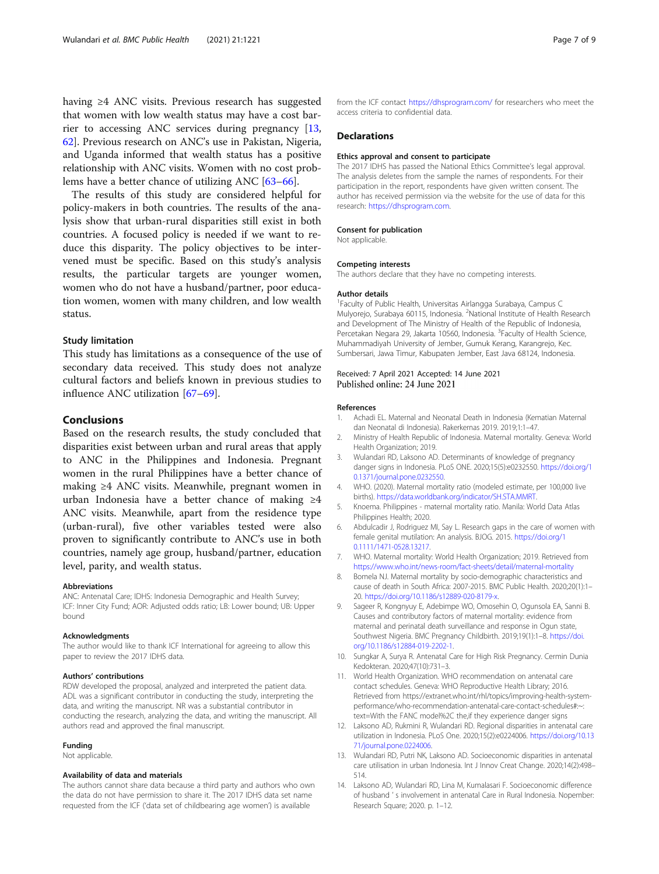<span id="page-6-0"></span>having ≥4 ANC visits. Previous research has suggested that women with low wealth status may have a cost barrier to accessing ANC services during pregnancy [13, [62\]](#page-8-0). Previous research on ANC's use in Pakistan, Nigeria, and Uganda informed that wealth status has a positive relationship with ANC visits. Women with no cost problems have a better chance of utilizing ANC [[63](#page-8-0)–[66](#page-8-0)].

The results of this study are considered helpful for policy-makers in both countries. The results of the analysis show that urban-rural disparities still exist in both countries. A focused policy is needed if we want to reduce this disparity. The policy objectives to be intervened must be specific. Based on this study's analysis results, the particular targets are younger women, women who do not have a husband/partner, poor education women, women with many children, and low wealth status.

#### Study limitation

This study has limitations as a consequence of the use of secondary data received. This study does not analyze cultural factors and beliefs known in previous studies to influence ANC utilization [\[67](#page-8-0)–[69\]](#page-8-0).

### Conclusions

Based on the research results, the study concluded that disparities exist between urban and rural areas that apply to ANC in the Philippines and Indonesia. Pregnant women in the rural Philippines have a better chance of making ≥4 ANC visits. Meanwhile, pregnant women in urban Indonesia have a better chance of making ≥4 ANC visits. Meanwhile, apart from the residence type (urban-rural), five other variables tested were also proven to significantly contribute to ANC's use in both countries, namely age group, husband/partner, education level, parity, and wealth status.

#### Abbreviations

ANC: Antenatal Care; IDHS: Indonesia Demographic and Health Survey; ICF: Inner City Fund; AOR: Adjusted odds ratio; LB: Lower bound; UB: Upper bound

#### Acknowledgments

The author would like to thank ICF International for agreeing to allow this paper to review the 2017 IDHS data.

#### Authors' contributions

RDW developed the proposal, analyzed and interpreted the patient data. ADL was a significant contributor in conducting the study, interpreting the data, and writing the manuscript. NR was a substantial contributor in conducting the research, analyzing the data, and writing the manuscript. All authors read and approved the final manuscript.

#### Funding

Not applicable.

#### Availability of data and materials

The authors cannot share data because a third party and authors who own the data do not have permission to share it. The 2017 IDHS data set name requested from the ICF ('data set of childbearing age women') is available

from the ICF contact [https://dhsprogram.com/](https://dhsprogram.com) for researchers who meet the access criteria to confidential data.

#### **Declarations**

#### Ethics approval and consent to participate

The 2017 IDHS has passed the National Ethics Committee's legal approval. The analysis deletes from the sample the names of respondents. For their participation in the report, respondents have given written consent. The author has received permission via the website for the use of data for this research: <https://dhsprogram.com>.

#### Consent for publication

Not applicable.

#### Competing interests

The authors declare that they have no competing interests.

#### Author details

<sup>1</sup> Faculty of Public Health, Universitas Airlangga Surabaya, Campus C Mulyorejo, Surabaya 60115, Indonesia. <sup>2</sup>National Institute of Health Research and Development of The Ministry of Health of the Republic of Indonesia, Percetakan Negara 29, Jakarta 10560, Indonesia. <sup>3</sup>Faculty of Health Science, Muhammadiyah University of Jember, Gumuk Kerang, Karangrejo, Kec. Sumbersari, Jawa Timur, Kabupaten Jember, East Java 68124, Indonesia.

### Received: 7 April 2021 Accepted: 14 June 2021 Published online: 24 June 2021

#### References

- 1. Achadi EL. Maternal and Neonatal Death in Indonesia (Kematian Maternal dan Neonatal di Indonesia). Rakerkernas 2019. 2019;1:1–47.
- 2. Ministry of Health Republic of Indonesia. Maternal mortality. Geneva: World Health Organization; 2019.
- 3. Wulandari RD, Laksono AD. Determinants of knowledge of pregnancy danger signs in Indonesia. PLoS ONE. 2020;15(5):e0232550. [https://doi.org/1](https://doi.org/10.1371/journal.pone.0232550) [0.1371/journal.pone.0232550](https://doi.org/10.1371/journal.pone.0232550).
- 4. WHO. (2020). Maternal mortality ratio (modeled estimate, per 100,000 live births). <https://data.worldbank.org/indicator/SH.STA.MMRT>.
- 5. Knoema. Philippines maternal mortality ratio. Manila: World Data Atlas Philippines Health; 2020.
- 6. Abdulcadir J, Rodriguez MI, Say L. Research gaps in the care of women with female genital mutilation: An analysis. BJOG. 2015. [https://doi.org/1](https://doi.org/10.1111/1471-0528.13217) [0.1111/1471-0528.13217](https://doi.org/10.1111/1471-0528.13217).
- 7. WHO. Maternal mortality: World Health Organization; 2019. Retrieved from <https://www.who.int/news-room/fact-sheets/detail/maternal-mortality>
- 8. Bomela NJ. Maternal mortality by socio-demographic characteristics and cause of death in South Africa: 2007-2015. BMC Public Health. 2020;20(1):1– 20. [https://doi.org/10.1186/s12889-020-8179-x.](https://doi.org/10.1186/s12889-020-8179-x)
- 9. Sageer R, Kongnyuy E, Adebimpe WO, Omosehin O, Ogunsola EA, Sanni B. Causes and contributory factors of maternal mortality: evidence from maternal and perinatal death surveillance and response in Ogun state, Southwest Nigeria. BMC Pregnancy Childbirth. 2019;19(1):1–8. [https://doi.](https://doi.org/10.1186/s12884-019-2202-1) [org/10.1186/s12884-019-2202-1](https://doi.org/10.1186/s12884-019-2202-1).
- 10. Sungkar A, Surya R. Antenatal Care for High Risk Pregnancy. Cermin Dunia Kedokteran. 2020;47(10):731–3.
- 11. World Health Organization. WHO recommendation on antenatal care contact schedules. Geneva: WHO Reproductive Health Library; 2016. Retrieved from https://extranet.who.int/rhl/topics/improving-health-systemperformance/who-recommendation-antenatal-care-contact-schedules#:~: text=With the FANC model%2C the,if they experience danger signs
- 12. Laksono AD, Rukmini R, Wulandari RD. Regional disparities in antenatal care utilization in Indonesia. PLoS One. 2020;15(2):e0224006. [https://doi.org/10.13](https://doi.org/10.1371/journal.pone.0224006) [71/journal.pone.0224006.](https://doi.org/10.1371/journal.pone.0224006)
- 13. Wulandari RD, Putri NK, Laksono AD. Socioeconomic disparities in antenatal care utilisation in urban Indonesia. Int J Innov Creat Change. 2020;14(2):498– 514.
- 14. Laksono AD, Wulandari RD, Lina M, Kumalasari F. Socioeconomic difference of husband ' s involvement in antenatal Care in Rural Indonesia. Nopember: Research Square; 2020. p. 1–12.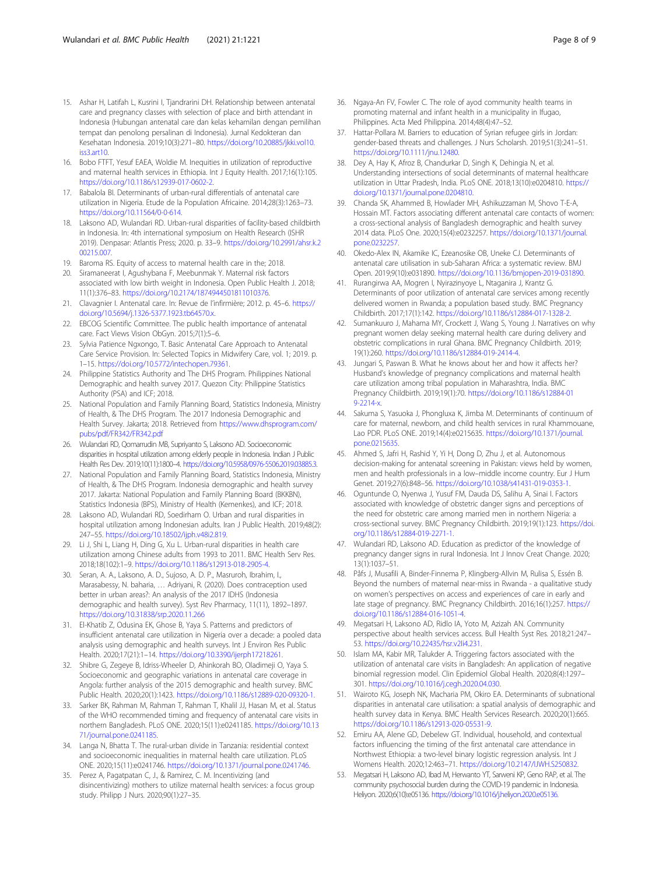- <span id="page-7-0"></span>15. Ashar H, Latifah L, Kusrini I, Tjandrarini DH. Relationship between antenatal care and pregnancy classes with selection of place and birth attendant in Indonesia (Hubungan antenatal care dan kelas kehamilan dengan pemilihan tempat dan penolong persalinan di Indonesia). Jurnal Kedokteran dan Kesehatan Indonesia. 2019;10(3):271–80. [https://doi.org/10.20885/jkki.vol10.](https://doi.org/10.20885/jkki.vol10.iss3.art10) [iss3.art10](https://doi.org/10.20885/jkki.vol10.iss3.art10).
- 16. Bobo FTFT, Yesuf EAEA, Woldie M. Inequities in utilization of reproductive and maternal health services in Ethiopia. Int J Equity Health. 2017;16(1):105. <https://doi.org/10.1186/s12939-017-0602-2>.
- 17. Babalola BI. Determinants of urban-rural differentials of antenatal care utilization in Nigeria. Etude de la Population Africaine. 2014;28(3):1263–73. [https://doi.org/10.11564/0-0-614.](https://doi.org/10.11564/0-0-614)
- 18. Laksono AD, Wulandari RD. Urban-rural disparities of facility-based childbirth in Indonesia. In: 4th international symposium on Health Research (ISHR 2019). Denpasar: Atlantis Press; 2020. p. 33–9. [https://doi.org/10.2991/ahsr.k.2](https://doi.org/10.2991/ahsr.k.200215.007) [00215.007](https://doi.org/10.2991/ahsr.k.200215.007).
- 19. Baroma RS. Equity of access to maternal health care in the; 2018.
- 20. Siramaneerat I, Agushybana F, Meebunmak Y. Maternal risk factors associated with low birth weight in Indonesia. Open Public Health J. 2018; 11(1):376–83. [https://doi.org/10.2174/1874944501811010376.](https://doi.org/10.2174/1874944501811010376)
- 21. Clavagnier I. Antenatal care. In: Revue de l'infirmière; 2012. p. 45–6. [https://](https://doi.org/10.5694/j.1326-5377.1923.tb64570.x) [doi.org/10.5694/j.1326-5377.1923.tb64570.x.](https://doi.org/10.5694/j.1326-5377.1923.tb64570.x)
- 22. EBCOG Scientific Committee. The public health importance of antenatal care. Fact Views Vision ObGyn. 2015;7(1):5–6.
- 23. Sylvia Patience Ngxongo, T. Basic Antenatal Care Approach to Antenatal Care Service Provision. In: Selected Topics in Midwifery Care, vol. 1; 2019. p. 1–15. [https://doi.org/10.5772/intechopen.79361.](https://doi.org/10.5772/intechopen.79361)
- 24. Philippine Statistics Authority and The DHS Program. Philippines National Demographic and health survey 2017. Quezon City: Philippine Statistics Authority (PSA) and ICF; 2018.
- 25. National Population and Family Planning Board, Statistics Indonesia, Ministry of Health, & The DHS Program. The 2017 Indonesia Demographic and Health Survey. Jakarta; 2018. Retrieved from [https://www.dhsprogram.com/](https://www.dhsprogram.com/pubs/pdf/FR342/FR342.pdf) [pubs/pdf/FR342/FR342.pdf](https://www.dhsprogram.com/pubs/pdf/FR342/FR342.pdf)
- 26. Wulandari RD, Qomarrudin MB, Supriyanto S, Laksono AD. Socioeconomic disparities in hospital utilization among elderly people in Indonesia. Indian J Public Health Res Dev. 2019;10(11):1800–4. [https://doi.org/10.5958/0976-5506.2019.03885.3.](https://doi.org/10.5958/0976-5506.2019.03885.3)
- 27. National Population and Family Planning Board, Statistics Indonesia, Ministry of Health, & The DHS Program. Indonesia demographic and health survey 2017. Jakarta: National Population and Family Planning Board (BKKBN), Statistics Indonesia (BPS), Ministry of Health (Kemenkes), and ICF; 2018.
- 28. Laksono AD, Wulandari RD, Soedirham O. Urban and rural disparities in hospital utilization among Indonesian adults. Iran J Public Health. 2019;48(2): 247–55. <https://doi.org/10.18502/ijph.v48i2.819>.
- 29. Li J, Shi L, Liang H, Ding G, Xu L. Urban-rural disparities in health care utilization among Chinese adults from 1993 to 2011. BMC Health Serv Res. 2018;18(102):1–9. [https://doi.org/10.1186/s12913-018-2905-4.](https://doi.org/10.1186/s12913-018-2905-4)
- 30. Seran, A. A., Laksono, A. D., Sujoso, A. D. P., Masruroh, Ibrahim, I., Marasabessy, N. baharia, … Adriyani, R. (2020). Does contraception used better in urban areas?: An analysis of the 2017 IDHS (Indonesia demographic and health survey). Syst Rev Pharmacy, 11(11), 1892–1897. <https://doi.org/10.31838/srp.2020.11.266>
- 31. El-Khatib Z, Odusina EK, Ghose B, Yaya S. Patterns and predictors of insufficient antenatal care utilization in Nigeria over a decade: a pooled data analysis using demographic and health surveys. Int J Environ Res Public Health. 2020;17(21):1–14. [https://doi.org/10.3390/ijerph17218261.](https://doi.org/10.3390/ijerph17218261)
- 32. Shibre G, Zegeye B, Idriss-Wheeler D, Ahinkorah BO, Oladimeji O, Yaya S. Socioeconomic and geographic variations in antenatal care coverage in Angola: further analysis of the 2015 demographic and health survey. BMC Public Health. 2020;20(1):1423. [https://doi.org/10.1186/s12889-020-09320-1.](https://doi.org/10.1186/s12889-020-09320-1)
- 33. Sarker BK, Rahman M, Rahman T, Rahman T, Khalil JJ, Hasan M, et al. Status of the WHO recommended timing and frequency of antenatal care visits in northern Bangladesh. PLoS ONE. 2020;15(11):e0241185. [https://doi.org/10.13](https://doi.org/10.1371/journal.pone.0241185) [71/journal.pone.0241185.](https://doi.org/10.1371/journal.pone.0241185)
- 34. Langa N, Bhatta T. The rural-urban divide in Tanzania: residential context and socioeconomic inequalities in maternal health care utilization. PLoS ONE. 2020;15(11):e0241746. <https://doi.org/10.1371/journal.pone.0241746>.
- 35. Perez A, Pagatpatan C, J., & Ramirez, C. M. Incentivizing (and disincentivizing) mothers to utilize maternal health services: a focus group study. Philipp J Nurs. 2020;90(1):27–35.
- 36. Ngaya-An FV, Fowler C. The role of ayod community health teams in promoting maternal and infant health in a municipality in Ifugao, Philippines. Acta Med Philippina. 2014;48(4):47–52.
- 37. Hattar-Pollara M. Barriers to education of Syrian refugee girls in Jordan: gender-based threats and challenges. J Nurs Scholarsh. 2019;51(3):241–51. <https://doi.org/10.1111/jnu.12480>.
- Dey A, Hay K, Afroz B, Chandurkar D, Singh K, Dehingia N, et al. Understanding intersections of social determinants of maternal healthcare utilization in Uttar Pradesh, India. PLoS ONE. 2018;13(10):e0204810. [https://](https://doi.org/10.1371/journal.pone.0204810) [doi.org/10.1371/journal.pone.0204810.](https://doi.org/10.1371/journal.pone.0204810)
- 39. Chanda SK, Ahammed B, Howlader MH, Ashikuzzaman M, Shovo T-E-A, Hossain MT. Factors associating different antenatal care contacts of women: a cross-sectional analysis of Bangladesh demographic and health survey 2014 data. PLoS One. 2020;15(4):e0232257. [https://doi.org/10.1371/journal.](https://doi.org/10.1371/journal.pone.0232257) [pone.0232257.](https://doi.org/10.1371/journal.pone.0232257)
- 40. Okedo-Alex IN, Akamike IC, Ezeanosike OB, Uneke CJ. Determinants of antenatal care utilisation in sub-Saharan Africa: a systematic review. BMJ Open. 2019;9(10):e031890. <https://doi.org/10.1136/bmjopen-2019-031890>.
- 41. Rurangirwa AA, Mogren I, Nyirazinyoye L, Ntaganira J, Krantz G. Determinants of poor utilization of antenatal care services among recently delivered women in Rwanda; a population based study. BMC Pregnancy Childbirth. 2017;17(1):142. [https://doi.org/10.1186/s12884-017-1328-2.](https://doi.org/10.1186/s12884-017-1328-2)
- 42. Sumankuuro J, Mahama MY, Crockett J, Wang S, Young J. Narratives on why pregnant women delay seeking maternal health care during delivery and obstetric complications in rural Ghana. BMC Pregnancy Childbirth. 2019; 19(1):260. [https://doi.org/10.1186/s12884-019-2414-4.](https://doi.org/10.1186/s12884-019-2414-4)
- 43. Jungari S, Paswan B. What he knows about her and how it affects her? Husband's knowledge of pregnancy complications and maternal health care utilization among tribal population in Maharashtra, India. BMC Pregnancy Childbirth. 2019;19(1):70. [https://doi.org/10.1186/s12884-01](https://doi.org/10.1186/s12884-019-2214-x) [9-2214-x.](https://doi.org/10.1186/s12884-019-2214-x)
- 44. Sakuma S, Yasuoka J, Phongluxa K, Jimba M. Determinants of continuum of care for maternal, newborn, and child health services in rural Khammouane, Lao PDR. PLoS ONE. 2019;14(4):e0215635. [https://doi.org/10.1371/journal.](https://doi.org/10.1371/journal.pone.0215635) [pone.0215635.](https://doi.org/10.1371/journal.pone.0215635)
- 45. Ahmed S, Jafri H, Rashid Y, Yi H, Dong D, Zhu J, et al. Autonomous decision-making for antenatal screening in Pakistan: views held by women, men and health professionals in a low–middle income country. Eur J Hum Genet. 2019;27(6):848–56. <https://doi.org/10.1038/s41431-019-0353-1>.
- 46. Oguntunde O, Nyenwa J, Yusuf FM, Dauda DS, Salihu A, Sinai I. Factors associated with knowledge of obstetric danger signs and perceptions of the need for obstetric care among married men in northern Nigeria: a cross-sectional survey. BMC Pregnancy Childbirth. 2019;19(1):123. [https://doi.](https://doi.org/10.1186/s12884-019-2271-1) [org/10.1186/s12884-019-2271-1](https://doi.org/10.1186/s12884-019-2271-1).
- 47. Wulandari RD, Laksono AD. Education as predictor of the knowledge of pregnancy danger signs in rural Indonesia. Int J Innov Creat Change. 2020; 13(1):1037–51.
- 48. Påfs J, Musafili A, Binder-Finnema P, Klingberg-Allvin M, Rulisa S, Essén B. Beyond the numbers of maternal near-miss in Rwanda - a qualitative study on women's perspectives on access and experiences of care in early and late stage of pregnancy. BMC Pregnancy Childbirth. 2016;16(1):257. [https://](https://doi.org/10.1186/s12884-016-1051-4) [doi.org/10.1186/s12884-016-1051-4.](https://doi.org/10.1186/s12884-016-1051-4)
- 49. Megatsari H, Laksono AD, Ridlo IA, Yoto M, Azizah AN. Community perspective about health services access. Bull Health Syst Res. 2018;21:247– 53. [https://doi.org/10.22435/hsr.v2Ii4.231.](https://doi.org/10.22435/hsr.v2Ii4.231)
- 50. Islam MA, Kabir MR, Talukder A. Triggering factors associated with the utilization of antenatal care visits in Bangladesh: An application of negative binomial regression model. Clin Epidemiol Global Health. 2020;8(4):1297– 301. [https://doi.org/10.1016/j.cegh.2020.04.030.](https://doi.org/10.1016/j.cegh.2020.04.030)
- 51. Wairoto KG, Joseph NK, Macharia PM, Okiro EA. Determinants of subnational disparities in antenatal care utilisation: a spatial analysis of demographic and health survey data in Kenya. BMC Health Services Research. 2020;20(1):665. [https://doi.org/10.1186/s12913-020-05531-9.](https://doi.org/10.1186/s12913-020-05531-9)
- 52. Emiru AA, Alene GD, Debelew GT. Individual, household, and contextual factors influencing the timing of the first antenatal care attendance in Northwest Ethiopia: a two-level binary logistic regression analysis. Int J Womens Health. 2020;12:463–71. [https://doi.org/10.2147/IJWH.S250832.](https://doi.org/10.2147/IJWH.S250832)
- 53. Megatsari H, Laksono AD, Ibad M, Herwanto YT, Sarweni KP, Geno RAP, et al. The community psychosocial burden during the COVID-19 pandemic in Indonesia. Heliyon. 2020;6(10):e05136. [https://doi.org/10.1016/j.heliyon.2020.e05136.](https://doi.org/10.1016/j.heliyon.2020.e05136)